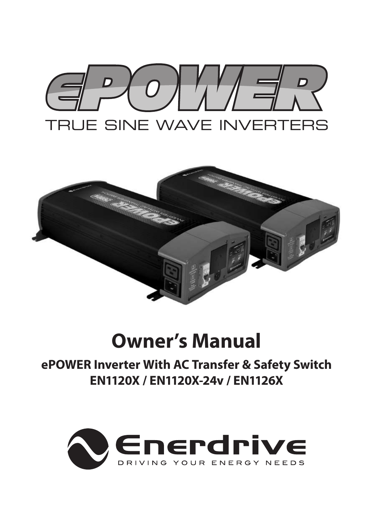



# **Owner's Manual**

**ePOWER Inverter With AC Transfer & Safety Switch EN1120X / EN1120X-24v / EN1126X**

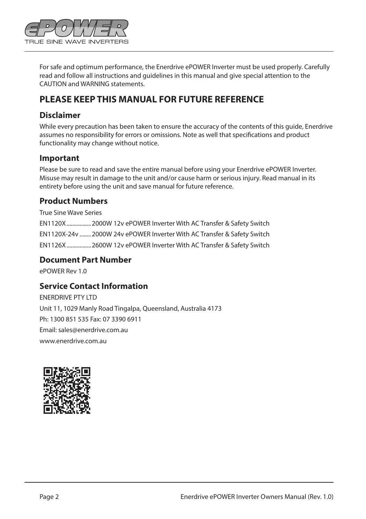

For safe and optimum performance, the Enerdrive ePOWER Inverter must be used properly. Carefully read and follow all instructions and guidelines in this manual and give special attention to the CAUTION and WARNING statements.

#### **PLEASE KEEP THIS MANUAL FOR FUTURE REFERENCE**

#### **Disclaimer**

While every precaution has been taken to ensure the accuracy of the contents of this guide, Enerdrive assumes no responsibility for errors or omissions. Note as well that specifications and product functionality may change without notice.

#### **Important**

Please be sure to read and save the entire manual before using your Enerdrive ePOWER Inverter. Misuse may result in damage to the unit and/or cause harm or serious injury. Read manual in its entirety before using the unit and save manual for future reference.

#### **Product Numbers**

True Sine Wave Series EN1120X.................2000W 12v ePOWER Inverter With AC Transfer & Safety Switch EN1120X-24v ........2000W 24v ePOWER Inverter With AC Transfer & Safety Switch EN1126X.................2600W 12v ePOWER Inverter With AC Transfer & Safety Switch

#### **Document Part Number**

ePOWER Rev 1.0

#### **Service Contact Information**

ENERDRIVE PTY LTD Unit 11, 1029 Manly Road Tingalpa, Queensland, Australia 4173 Ph: 1300 851 535 Fax: 07 3390 6911 Email: sales@enerdrive.com.au www.enerdrive.com.au

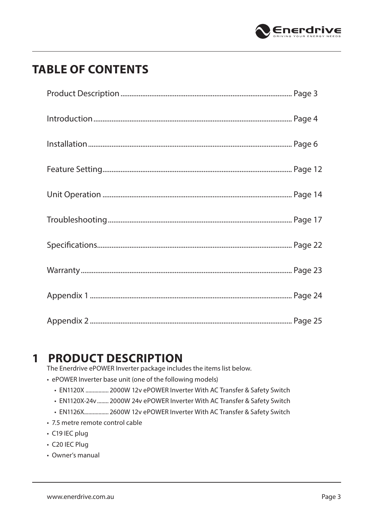

## **TABLE OF CONTENTS**

### **1 PRODUCT DESCRIPTION**

The Enerdrive ePOWER Inverter package includes the items list below.

- ePOWER Inverter base unit (one of the following models)
	- EN1120X ................ 2000W 12v ePOWER Inverter With AC Transfer & Safety Switch
	- EN1120X-24v........ 2000W 24v ePOWER Inverter With AC Transfer & Safety Switch
	- EN1126X................. 2600W 12v ePOWER Inverter With AC Transfer & Safety Switch
- 7.5 metre remote control cable
- C19 IEC plug
- C20 IEC Plug
- Owner's manual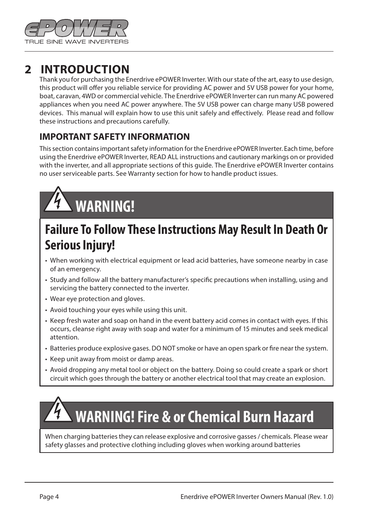

### **2 INTRODUCTION**

Thank you for purchasing the Enerdrive ePOWER Inverter. With our state of the art, easy to use design, this product will offer you reliable service for providing AC power and 5V USB power for your home, boat, caravan, 4WD or commercial vehicle. The Enerdrive ePOWER Inverter can run many AC powered appliances when you need AC power anywhere. The 5V USB power can charge many USB powered devices. This manual will explain how to use this unit safely and effectively. Please read and follow these instructions and precautions carefully.

#### **IMPORTANT SAFETY INFORMATION**

This section contains important safety information for the Enerdrive ePOWER Inverter. Each time, before using the Enerdrive ePOWER Inverter, READ ALL instructions and cautionary markings on or provided with the inverter, and all appropriate sections of this guide. The Enerdrive ePOWER Inverter contains no user serviceable parts. See Warranty section for how to handle product issues.

# **WARNING!**

## **Failure To Follow These Instructions May Result In Death Or Serious Injury!**

- When working with electrical equipment or lead acid batteries, have someone nearby in case of an emergency.
- Study and follow all the battery manufacturer's specific precautions when installing, using and servicing the battery connected to the inverter.
- Wear eye protection and gloves.
- Avoid touching your eyes while using this unit.
- Keep fresh water and soap on hand in the event battery acid comes in contact with eyes. If this occurs, cleanse right away with soap and water for a minimum of 15 minutes and seek medical attention.
- Batteries produce explosive gases. DO NOT smoke or have an open spark or fire near the system.
- Keep unit away from moist or damp areas.
- Avoid dropping any metal tool or object on the battery. Doing so could create a spark or short circuit which goes through the battery or another electrical tool that may create an explosion.

# **WARNING! Fire & or Chemical Burn Hazard**

When charging batteries they can release explosive and corrosive gasses / chemicals. Please wear safety glasses and protective clothing including gloves when working around batteries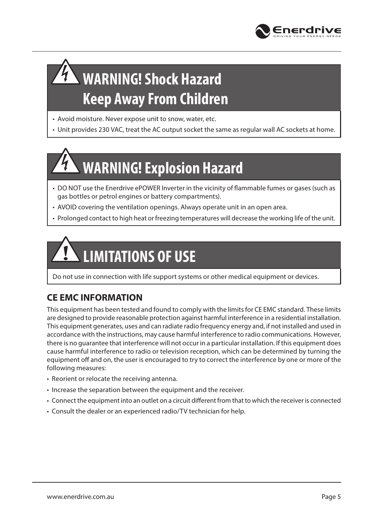

# **WARNING! Shock Hazard Keep Away From Children**

- Avoid moisture. Never expose unit to snow, water, etc.
- Unit provides 230 VAC, treat the AC output socket the same as regular wall AC sockets at home.

# **WARNING! Explosion Hazard**

- DO NOT use the Enerdrive ePOWER Inverter in the vicinity of flammable fumes or gases (such as gas bottles or petrol engines or battery compartments).
- AVOID covering the ventilation openings. Always operate unit in an open area.
- Prolonged contact to high heat or freezing temperatures will decrease the working life of the unit.

# **LIMITATIONS OF USE**

Do not use in connection with life support systems or other medical equipment or devices.

#### **CE EMC INFORMATION**

This equipment has been tested and found to comply with the limits for CE EMC standard. These limits are designed to provide reasonable protection against harmful interference in a residential installation. This equipment generates, uses and can radiate radio frequency energy and, if not installed and used in accordance with the instructions, may cause harmful interference to radio communications. However, there is no guarantee that interference will not occur in a particular installation. If this equipment does cause harmful interference to radio or television reception, which can be determined by turning the equipment off and on, the user is encouraged to try to correct the interference by one or more of the following measures:

- Reorient or relocate the receiving antenna.
- Increase the separation between the equipment and the receiver.
- Connect the equipment into an outlet on a circuit different from that to which the receiver is connected
- Consult the dealer or an experienced radio/TV technician for help.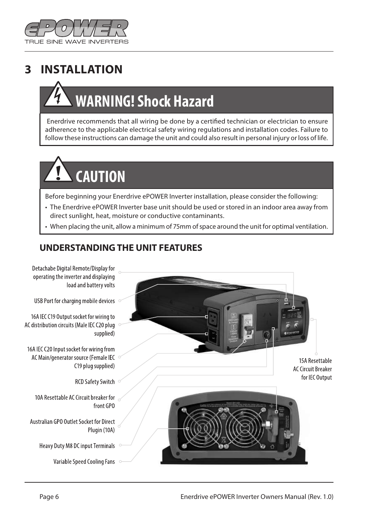

## **3 INSTALLATION**

# **WARNING! Shock Hazard**

 Enerdrive recommends that all wiring be done by a certified technician or electrician to ensure adherence to the applicable electrical safety wiring regulations and installation codes. Failure to follow these instructions can damage the unit and could also result in personal injury or loss of life.

# **CAUTION**

Before beginning your Enerdrive ePOWER Inverter installation, please consider the following:

- The Enerdrive ePOWER Inverter base unit should be used or stored in an indoor area away from direct sunlight, heat, moisture or conductive contaminants.
- When placing the unit, allow a minimum of 75mm of space around the unit for optimal ventilation.

#### **UNDERSTANDING THE UNIT FEATURES**

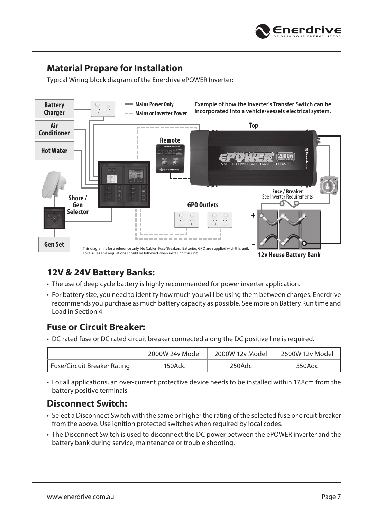

#### **Material Prepare for Installation**

Typical Wiring block diagram of the Enerdrive ePOWER Inverter:



#### **12V & 24V Battery Banks:**

- The use of deep cycle battery is highly recommended for power inverter application.
- For battery size, you need to identify how much you will be using them between charges. Enerdrive recommends you purchase as much battery capacity as possible. See more on Battery Run time and Load in Section 4.

#### **Fuse or Circuit Breaker:**

• DC rated fuse or DC rated circuit breaker connected along the DC positive line is required.

|                             | 2000W 24v Model | 2000W 12v Model | 2600W 12v Model |
|-----------------------------|-----------------|-----------------|-----------------|
| Fuse/Circuit Breaker Rating | 150Adc          | 250Adc          | 350Adc          |

• For all applications, an over-current protective device needs to be installed within 17.8cm from the battery positive terminals

#### **Disconnect Switch:**

- Select a Disconnect Switch with the same or higher the rating of the selected fuse or circuit breaker from the above. Use ignition protected switches when required by local codes.
- The Disconnect Switch is used to disconnect the DC power between the ePOWER inverter and the battery bank during service, maintenance or trouble shooting.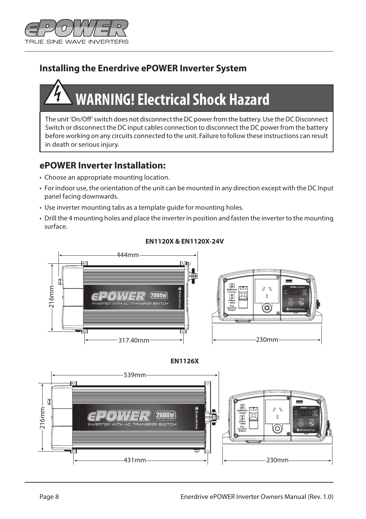

#### **Installing the Enerdrive ePOWER Inverter System**

# **WARNING! Electrical Shock Hazard**

The unit 'On/Off' switch does not disconnect the DC power from the battery. Use the DC Disconnect Switch or disconnect the DC input cables connection to disconnect the DC power from the battery before working on any circuits connected to the unit. Failure to follow these instructions can result in death or serious injury.

#### **ePOWER Inverter Installation:**

- Choose an appropriate mounting location.
- For indoor use, the orientation of the unit can be mounted in any direction except with the DC Input panel facing downwards.
- Use inverter mounting tabs as a template guide for mounting holes.
- Drill the 4 mounting holes and place the inverter in position and fasten the inverter to the mounting surface.







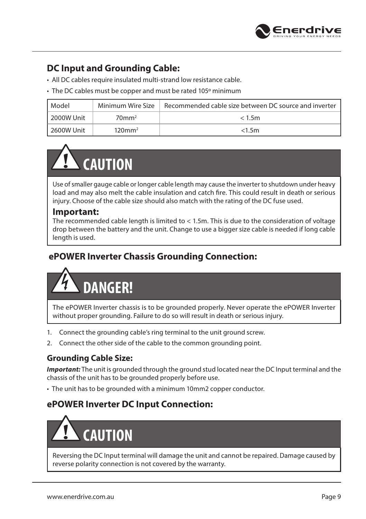

#### **DC Input and Grounding Cable:**

- All DC cables require insulated multi-strand low resistance cable.
- The DC cables must be copper and must be rated 105º minimum

| Model               | Minimum Wire Size    | Recommended cable size between DC source and inverter |
|---------------------|----------------------|-------------------------------------------------------|
| 12000W Unit         | $70$ mm <sup>2</sup> | < 1.5m                                                |
| <b>1 2600W Unit</b> | $120 \text{mm}^2$    | < 1.5m                                                |

# **CAUTION**

Use of smaller gauge cable or longer cable length may cause the inverter to shutdown under heavy load and may also melt the cable insulation and catch fire. This could result in death or serious injury. Choose of the cable size should also match with the rating of the DC fuse used.

#### **Important:**

The recommended cable length is limited to < 1.5m. This is due to the consideration of voltage drop between the battery and the unit. Change to use a bigger size cable is needed if long cable length is used.

#### **ePOWER Inverter Chassis Grounding Connection:**

# **DANGER!**

The ePOWER Inverter chassis is to be grounded properly. Never operate the ePOWER Inverter without proper grounding. Failure to do so will result in death or serious injury.

- 1. Connect the grounding cable's ring terminal to the unit ground screw.
- 2. Connect the other side of the cable to the common grounding point.

#### **Grounding Cable Size:**

*Important:* The unit is grounded through the ground stud located near the DC Input terminal and the chassis of the unit has to be grounded properly before use.

• The unit has to be grounded with a minimum 10mm2 copper conductor.

#### **ePOWER Inverter DC Input Connection:**

# **CAUTION**

Reversing the DC Input terminal will damage the unit and cannot be repaired. Damage caused by reverse polarity connection is not covered by the warranty.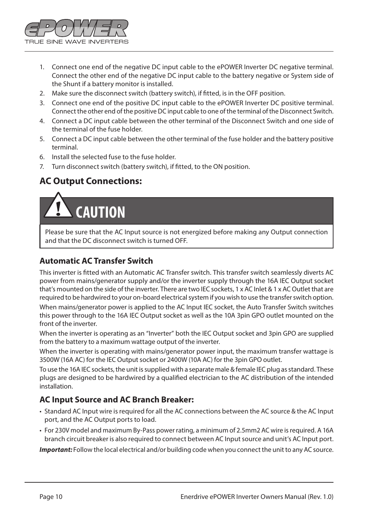

- 1. Connect one end of the negative DC input cable to the ePOWER Inverter DC negative terminal. Connect the other end of the negative DC input cable to the battery negative or System side of the Shunt if a battery monitor is installed.
- 2. Make sure the disconnect switch (battery switch), if fitted, is in the OFF position.
- 3. Connect one end of the positive DC input cable to the ePOWER Inverter DC positive terminal. Connect the other end of the positive DC input cable to one of the terminal of the Disconnect Switch.
- 4. Connect a DC input cable between the other terminal of the Disconnect Switch and one side of the terminal of the fuse holder.
- 5. Connect a DC input cable between the other terminal of the fuse holder and the battery positive terminal.
- 6. Install the selected fuse to the fuse holder.
- 7. Turn disconnect switch (battery switch), if fitted, to the ON position.

#### **AC Output Connections:**

# **CAUTION**

Please be sure that the AC Input source is not energized before making any Output connection and that the DC disconnect switch is turned OFF.

#### **Automatic AC Transfer Switch**

This inverter is fitted with an Automatic AC Transfer switch. This transfer switch seamlessly diverts AC power from mains/generator supply and/or the inverter supply through the 16A IEC Output socket that's mounted on the side of the inverter. There are two IEC sockets, 1 x AC Inlet & 1 x AC Outlet that are required to be hardwired to your on-board electrical system if you wish to use the transfer switch option.

When mains/generator power is applied to the AC Input IEC socket, the Auto Transfer Switch switches this power through to the 16A IEC Output socket as well as the 10A 3pin GPO outlet mounted on the front of the inverter.

When the inverter is operating as an "Inverter" both the IEC Output socket and 3pin GPO are supplied from the battery to a maximum wattage output of the inverter.

When the inverter is operating with mains/generator power input, the maximum transfer wattage is 3500W (16A AC) for the IEC Output socket or 2400W (10A AC) for the 3pin GPO outlet.

To use the 16A IEC sockets, the unit is supplied with a separate male & female IEC plug as standard. These plugs are designed to be hardwired by a qualified electrician to the AC distribution of the intended installation.

#### **AC Input Source and AC Branch Breaker:**

- Standard AC Input wire is required for all the AC connections between the AC source & the AC Input port, and the AC Output ports to load.
- For 230V model and maximum By-Pass power rating, a minimum of 2.5mm2 AC wire is required. A 16A branch circuit breaker is also required to connect between AC Input source and unit's AC Input port.

*Important:* Follow the local electrical and/or building code when you connect the unit to any AC source.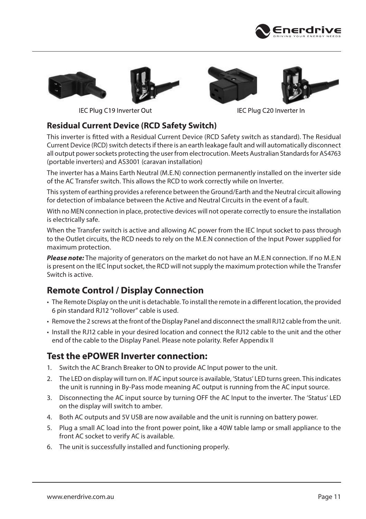







IEC Plug C19 Inverter Out

IEC Plug C20 Inverter In

#### **Residual Current Device (RCD Safety Switch)**

This inverter is fitted with a Residual Current Device (RCD Safety switch as standard). The Residual Current Device (RCD) switch detects if there is an earth leakage fault and will automatically disconnect all output power sockets protecting the user from electrocution. Meets Australian Standards for AS4763 (portable inverters) and AS3001 (caravan installation)

The inverter has a Mains Earth Neutral (M.E.N) connection permanently installed on the inverter side of the AC Transfer switch. This allows the RCD to work correctly while on Inverter.

This system of earthing provides a reference between the Ground/Earth and the Neutral circuit allowing for detection of imbalance between the Active and Neutral Circuits in the event of a fault.

With no MEN connection in place, protective devices will not operate correctly to ensure the installation is electrically safe.

When the Transfer switch is active and allowing AC power from the IEC Input socket to pass through to the Outlet circuits, the RCD needs to rely on the M.E.N connection of the Input Power supplied for maximum protection.

*Please note:* The majority of generators on the market do not have an M.E.N connection. If no M.E.N is present on the IEC Input socket, the RCD will not supply the maximum protection while the Transfer Switch is active.

#### **Remote Control / Display Connection**

- The Remote Display on the unit is detachable. To install the remote in a different location, the provided 6 pin standard RJ12 "rollover" cable is used.
- Remove the 2 screws at the front of the Display Panel and disconnect the small RJ12 cable from the unit.
- Install the RJ12 cable in your desired location and connect the RJ12 cable to the unit and the other end of the cable to the Display Panel. Please note polarity. Refer Appendix II

#### **Test the ePOWER Inverter connection:**

- 1. Switch the AC Branch Breaker to ON to provide AC Input power to the unit.
- 2. The LED on display will turn on. If AC input source is available, 'Status' LED turns green. This indicates the unit is running in By-Pass mode meaning AC output is running from the AC input source.
- 3. Disconnecting the AC input source by turning OFF the AC Input to the inverter. The 'Status' LED on the display will switch to amber.
- 4. Both AC outputs and 5V USB are now available and the unit is running on battery power.
- 5. Plug a small AC load into the front power point, like a 40W table lamp or small appliance to the front AC socket to verify AC is available.
- 6. The unit is successfully installed and functioning properly.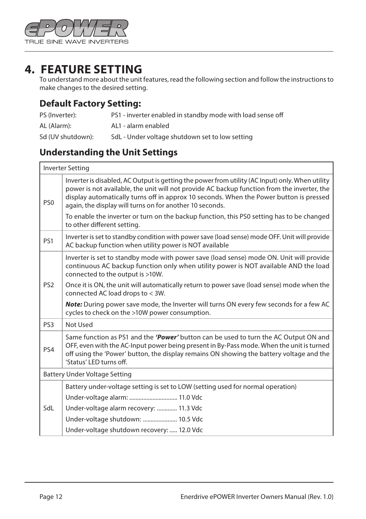

### **4. FEATURE SETTING**

 $\blacksquare$ 

To understand more about the unit features, read the following section and follow the instructions to make changes to the desired setting.

#### **Default Factory Setting:**

| PS (Inverter):    | PS1 - inverter enabled in standby mode with load sense off |
|-------------------|------------------------------------------------------------|
| AL (Alarm):       | AL1 - alarm enabled                                        |
| Sd (UV shutdown): | SdL - Under voltage shutdown set to low setting            |

#### **Understanding the Unit Settings**

|                 | <b>Inverter Setting</b>                                                                                                                                                                                                                                                                                                                              |
|-----------------|------------------------------------------------------------------------------------------------------------------------------------------------------------------------------------------------------------------------------------------------------------------------------------------------------------------------------------------------------|
| PS <sub>0</sub> | Inverter is disabled, AC Output is getting the power from utility (AC Input) only. When utility<br>power is not available, the unit will not provide AC backup function from the inverter, the<br>display automatically turns off in approx 10 seconds. When the Power button is pressed<br>again, the display will turns on for another 10 seconds. |
|                 | To enable the inverter or turn on the backup function, this PS0 setting has to be changed<br>to other different setting.                                                                                                                                                                                                                             |
| PS1             | Inverter is set to standby condition with power save (load sense) mode OFF. Unit will provide<br>AC backup function when utility power is NOT available                                                                                                                                                                                              |
|                 | Inverter is set to standby mode with power save (load sense) mode ON. Unit will provide<br>continuous AC backup function only when utility power is NOT available AND the load<br>connected to the output is >10W.                                                                                                                                   |
| PS <sub>2</sub> | Once it is ON, the unit will automatically return to power save (load sense) mode when the<br>connected AC load drops to < 3W.                                                                                                                                                                                                                       |
|                 | <b>Note:</b> During power save mode, the Inverter will turns ON every few seconds for a few AC<br>cycles to check on the >10W power consumption.                                                                                                                                                                                                     |
| PS <sub>3</sub> | Not Used                                                                                                                                                                                                                                                                                                                                             |
| PS4             | Same function as PS1 and the 'Power' button can be used to turn the AC Output ON and<br>OFF, even with the AC-Input power being present in By-Pass mode. When the unit is turned<br>off using the 'Power' button, the display remains ON showing the battery voltage and the<br>'Status' LED turns off.                                              |
|                 | Battery Under Voltage Setting                                                                                                                                                                                                                                                                                                                        |
|                 | Battery under-voltage setting is set to LOW (setting used for normal operation)                                                                                                                                                                                                                                                                      |
|                 | Under-voltage alarm:  11.0 Vdc                                                                                                                                                                                                                                                                                                                       |
| SdL             | Under-voltage alarm recovery:  11.3 Vdc                                                                                                                                                                                                                                                                                                              |
|                 | Under-voltage shutdown:  10.5 Vdc                                                                                                                                                                                                                                                                                                                    |
|                 | Under-voltage shutdown recovery:  12.0 Vdc                                                                                                                                                                                                                                                                                                           |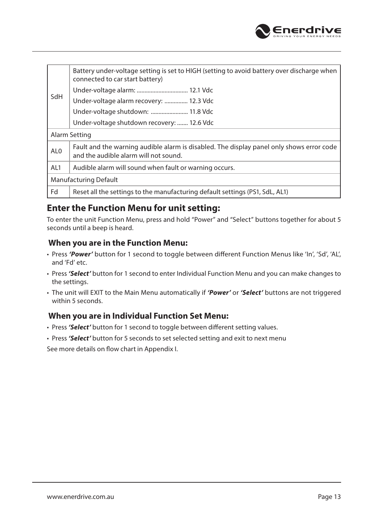

|                 | Battery under-voltage setting is set to HIGH (setting to avoid battery over discharge when<br>connected to car start battery)     |  |  |  |
|-----------------|-----------------------------------------------------------------------------------------------------------------------------------|--|--|--|
| SdH             |                                                                                                                                   |  |  |  |
|                 | Under-voltage alarm recovery:  12.3 Vdc                                                                                           |  |  |  |
|                 | Under-voltage shutdown:  11.8 Vdc                                                                                                 |  |  |  |
|                 | Under-voltage shutdown recovery:  12.6 Vdc                                                                                        |  |  |  |
|                 | Alarm Setting                                                                                                                     |  |  |  |
| AL <sub>0</sub> | Fault and the warning audible alarm is disabled. The display panel only shows error code<br>and the audible alarm will not sound. |  |  |  |
| AL1             | Audible alarm will sound when fault or warning occurs.                                                                            |  |  |  |
|                 | Manufacturing Default                                                                                                             |  |  |  |
| Fd              | Reset all the settings to the manufacturing default settings (PS1, SdL, AL1)                                                      |  |  |  |

#### **Enter the Function Menu for unit setting:**

To enter the unit Function Menu, press and hold "Power" and "Select" buttons together for about 5 seconds until a beep is heard.

#### **When you are in the Function Menu:**

- Press *'Power'* button for 1 second to toggle between different Function Menus like 'In', 'Sd', 'AL', and 'Fd' etc.
- Press *'Select'* button for 1 second to enter Individual Function Menu and you can make changes to the settings.
- The unit will EXIT to the Main Menu automatically if *'Power'* or *'Select'* buttons are not triggered within 5 seconds.

#### **When you are in Individual Function Set Menu:**

- Press 'Select' button for 1 second to toggle between different setting values.
- Press *'Select'* button for 5 seconds to set selected setting and exit to next menu

See more details on flow chart in Appendix I.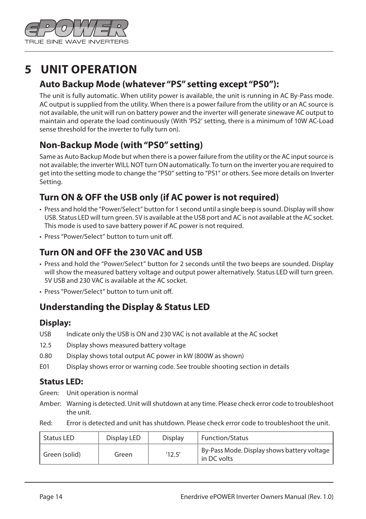

## **5 UNIT OPERATION**

#### **Auto Backup Mode (whatever "PS" setting except "PS0"):**

The unit is fully automatic. When utility power is available, the unit is running in AC By-Pass mode. AC output is supplied from the utility. When there is a power failure from the utility or an AC source is not available, the unit will run on battery power and the inverter will generate sinewave AC output to maintain and operate the load continuously (With 'PS2' setting, there is a minimum of 10W AC-Load sense threshold for the inverter to fully turn on).

#### **Non-Backup Mode (with "PS0" setting)**

Same as Auto Backup Mode but when there is a power failure from the utility or the AC input source is not available; the inverter WILL NOT turn ON automatically. To turn on the inverter you are required to get into the setting mode to change the "PS0" setting to "PS1" or others. See more details on Inverter Setting.

#### **Turn ON & OFF the USB only (if AC power is not required)**

- Press and hold the "Power/Select" button for 1 second until a single beep is sound. Display will show USB. Status LED will turn green. 5V is available at the USB port and AC is not available at the AC socket. This mode is used to save battery power if AC power is not required.
- Press "Power/Select" button to turn unit off.

#### **Turn ON and OFF the 230 VAC and USB**

- Press and hold the "Power/Select" button for 2 seconds until the two beeps are sounded. Display will show the measured battery voltage and output power alternatively. Status LED will turn green. 5V USB and 230 VAC is available at the AC socket.
- Press "Power/Select" button to turn unit off.

#### **Understanding the Display & Status LED**

#### **Display:**

- USB Indicate only the USB is ON and 230 VAC is not available at the AC socket
- 12.5 Display shows measured battery voltage
- 0.80 Display shows total output AC power in kW (800W as shown)
- E01 Display shows error or warning code. See trouble shooting section in details

#### **Status LED:**

Green: Unit operation is normal

- Amber: Warning is detected. Unit will shutdown at any time. Please check error code to troubleshoot the unit.
- Red: Error is detected and unit has shutdown. Please check error code to troubleshoot the unit.

| Status LED    | Display LED | Display | Function/Status                                            |
|---------------|-------------|---------|------------------------------------------------------------|
| Green (solid) | Green       | '12.5'  | By-Pass Mode. Display shows battery voltage<br>in DC volts |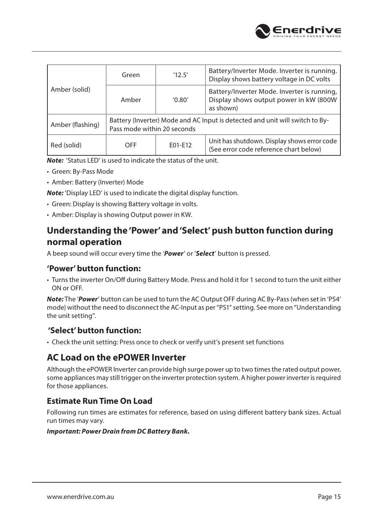

| Amber (solid)    | Green                                                                                                       | '12.5'  | Battery/Inverter Mode. Inverter is running.<br>Display shows battery voltage in DC volts           |
|------------------|-------------------------------------------------------------------------------------------------------------|---------|----------------------------------------------------------------------------------------------------|
|                  | Amber                                                                                                       | '0.80'  | Battery/Inverter Mode. Inverter is running,<br>Display shows output power in kW (800W<br>as shown) |
| Amber (flashing) | Battery (Inverter) Mode and AC Input is detected and unit will switch to By-<br>Pass mode within 20 seconds |         |                                                                                                    |
| Red (solid)      | OFF                                                                                                         | E01-E12 | Unit has shutdown. Display shows error code<br>(See error code reference chart below)              |

*Note:* 'Status LED' is used to indicate the status of the unit.

- Green: By-Pass Mode
- Amber: Battery (Inverter) Mode

*Note:* 'Display LED' is used to indicate the digital display function.

- Green: Display is showing Battery voltage in volts.
- Amber: Display is showing Output power in KW.

#### **Understanding the 'Power' and 'Select' push button function during normal operation**

A beep sound will occur every time the '*Power*' or '*Select*' button is pressed.

#### **'Power' button function:**

• Turns the inverter On/Off during Battery Mode. Press and hold it for 1 second to turn the unit either ON or OFF.

*Note:* The '*Power*' button can be used to turn the AC Output OFF during AC By-Pass (when set in 'PS4' mode) without the need to disconnect the AC-Input as per "PS1" setting. See more on "Understanding the unit setting".

#### **'Select' button function:**

• Check the unit setting: Press once to check or verify unit's present set functions

#### **AC Load on the ePOWER Inverter**

Although the ePOWER Inverter can provide high surge power up to two times the rated output power, some appliances may still trigger on the inverter protection system. A higher power inverter is required for those appliances.

#### **Estimate Run Time On Load**

Following run times are estimates for reference, based on using different battery bank sizes. Actual run times may vary.

#### *Important: Power Drain from DC Battery Bank.*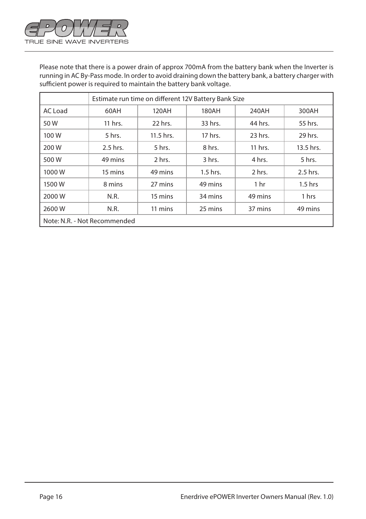

Please note that there is a power drain of approx 700mA from the battery bank when the Inverter is running in AC By-Pass mode. In order to avoid draining down the battery bank, a battery charger with sufficient power is required to maintain the battery bank voltage.

|                              | Estimate run time on different 12V Battery Bank Size |           |            |                 |           |
|------------------------------|------------------------------------------------------|-----------|------------|-----------------|-----------|
| AC Load                      | 60AH                                                 | 120AH     | 180AH      | 240AH           | 300AH     |
| 50W                          | 11 hrs.                                              | 22 hrs.   | 33 hrs.    | 44 hrs.         | 55 hrs.   |
| 100 W                        | 5 hrs.                                               | 11.5 hrs. | 17 hrs.    | 23 hrs.         | 29 hrs.   |
| 200 W                        | 2.5 hrs.                                             | 5 hrs.    | 8 hrs.     | 11 hrs.         | 13.5 hrs. |
| 500 W                        | 49 mins                                              | 2 hrs.    | 3 hrs.     | 4 hrs.          | 5 hrs.    |
| 1000W                        | 15 mins                                              | 49 mins   | $1.5$ hrs. | 2 hrs.          | 2.5 hrs.  |
| 1500W                        | 8 mins                                               | 27 mins   | 49 mins    | 1 <sub>hr</sub> | $1.5$ hrs |
| 2000 W                       | N.R.                                                 | 15 mins   | 34 mins    | 49 mins         | 1 hrs     |
| 2600W                        | N.R.                                                 | 11 mins   | 25 mins    | 37 mins         | 49 mins   |
| Note: N.R. - Not Recommended |                                                      |           |            |                 |           |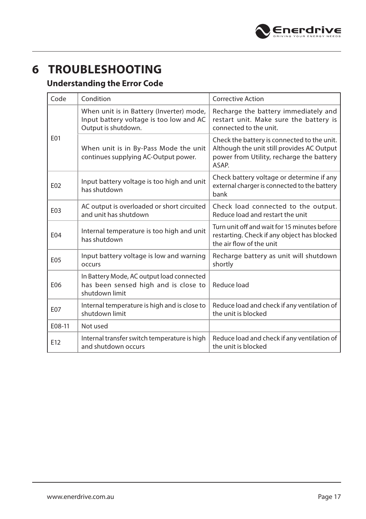

## **6 TROUBLESHOOTING**

#### **Understanding the Error Code**

| Code            | Condition                                                                                                  | <b>Corrective Action</b>                                                                                                                       |
|-----------------|------------------------------------------------------------------------------------------------------------|------------------------------------------------------------------------------------------------------------------------------------------------|
| E01             | When unit is in Battery (Inverter) mode,<br>Input battery voltage is too low and AC<br>Output is shutdown. | Recharge the battery immediately and<br>restart unit. Make sure the battery is<br>connected to the unit.                                       |
|                 | When unit is in By-Pass Mode the unit<br>continues supplying AC-Output power.                              | Check the battery is connected to the unit.<br>Although the unit still provides AC Output<br>power from Utility, recharge the battery<br>ASAP. |
| E02             | Input battery voltage is too high and unit<br>has shutdown                                                 | Check battery voltage or determine if any<br>external charger is connected to the battery<br>bank                                              |
| E03             | AC output is overloaded or short circuited<br>and unit has shutdown                                        | Check load connected to the output.<br>Reduce load and restart the unit                                                                        |
| E04             | Internal temperature is too high and unit<br>has shutdown                                                  | Turn unit off and wait for 15 minutes before<br>restarting. Check if any object has blocked<br>the air flow of the unit                        |
| E05             | Input battery voltage is low and warning<br>occurs                                                         | Recharge battery as unit will shutdown<br>shortly                                                                                              |
| E06             | In Battery Mode, AC output load connected<br>has been sensed high and is close to<br>shutdown limit        | Reduce load                                                                                                                                    |
| E07             | Internal temperature is high and is close to<br>shutdown limit                                             | Reduce load and check if any ventilation of<br>the unit is blocked                                                                             |
| E08-11          | Not used                                                                                                   |                                                                                                                                                |
| E <sub>12</sub> | Internal transfer switch temperature is high<br>and shutdown occurs                                        | Reduce load and check if any ventilation of<br>the unit is blocked                                                                             |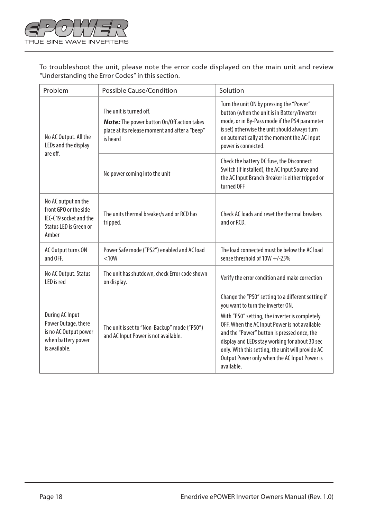

To troubleshoot the unit, please note the error code displayed on the main unit and review "Understanding the Error Codes" in this section.

| Problem                                                                                                   | Possible Cause/Condition                                                                                                                   | Solution                                                                                                                                                                                                                                                                                                                                                                                                       |
|-----------------------------------------------------------------------------------------------------------|--------------------------------------------------------------------------------------------------------------------------------------------|----------------------------------------------------------------------------------------------------------------------------------------------------------------------------------------------------------------------------------------------------------------------------------------------------------------------------------------------------------------------------------------------------------------|
| No AC Output. All the<br>LEDs and the display<br>are off.                                                 | The unit is turned off.<br><b>Note:</b> The power button On/Off action takes<br>place at its release moment and after a "beep"<br>is heard | Turn the unit ON by pressing the "Power"<br>button (when the unit is in Battery/inverter<br>mode, or in By-Pass mode if the PS4 parameter<br>is set) otherwise the unit should always turn<br>on automatically at the moment the AC-Input<br>power is connected.                                                                                                                                               |
|                                                                                                           | No power coming into the unit                                                                                                              | Check the battery DC fuse, the Disconnect<br>Switch (if installed), the AC Input Source and<br>the AC Input Branch Breaker is either tripped or<br>turned OFF                                                                                                                                                                                                                                                  |
| No AC output on the<br>front GPO or the side<br>IFC-C19 socket and the<br>Status LED is Green or<br>Amber | The units thermal breaker/s and or RCD has<br>tripped.                                                                                     | Check AC loads and reset the thermal breakers<br>and or RCD.                                                                                                                                                                                                                                                                                                                                                   |
| AC Output turns ON<br>and OFF.                                                                            | Power Safe mode ("PS2") enabled and AC load<br>< 10W                                                                                       | The load connected must be below the AC load<br>sense threshold of $10W +/-25%$                                                                                                                                                                                                                                                                                                                                |
| No AC Output. Status<br>I FD is red                                                                       | The unit has shutdown, check Error code shown<br>on display.                                                                               | Verify the error condition and make correction                                                                                                                                                                                                                                                                                                                                                                 |
| During AC Input<br>Power Outage, there<br>is no AC Output power<br>when battery power<br>is available.    | The unit is set to "Non-Backup" mode ("PS0")<br>and AC Input Power is not available.                                                       | Change the "PSO" setting to a different setting if<br>you want to turn the inverter ON.<br>With "PS0" setting, the inverter is completely<br>OFF. When the AC Input Power is not available<br>and the "Power" button is pressed once, the<br>display and LEDs stay working for about 30 sec<br>only. With this setting, the unit will provide AC<br>Output Power only when the AC Input Power is<br>available. |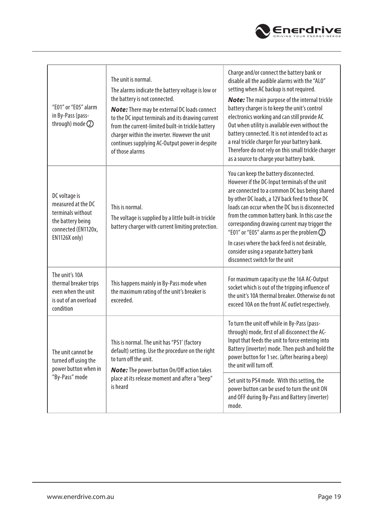

| "E01" or "E05" alarm<br>in By-Pass (pass-<br>through) mode $(2)$                                                      | The unit is normal.<br>The alarms indicate the battery voltage is low or<br>the battery is not connected.<br><b>Note:</b> There may be external DC loads connect<br>to the DC input terminals and its drawing current<br>from the current-limited built-in trickle battery<br>charger within the inverter. However the unit<br>continues supplying AC-Output power in despite<br>of those alarms | Charge and/or connect the battery bank or<br>disable all the audible alarms with the "ALO"<br>setting when AC backup is not required.<br><b>Note:</b> The main purpose of the internal trickle<br>battery charger is to keep the unit's control<br>electronics working and can still provide AC<br>Out when utility is available even without the<br>battery connected. It is not intended to act as<br>a real trickle charger for your battery bank.<br>Therefore do not rely on this small trickle charger<br>as a source to charge your battery bank. |
|-----------------------------------------------------------------------------------------------------------------------|--------------------------------------------------------------------------------------------------------------------------------------------------------------------------------------------------------------------------------------------------------------------------------------------------------------------------------------------------------------------------------------------------|----------------------------------------------------------------------------------------------------------------------------------------------------------------------------------------------------------------------------------------------------------------------------------------------------------------------------------------------------------------------------------------------------------------------------------------------------------------------------------------------------------------------------------------------------------|
| DC voltage is<br>measured at the DC<br>terminals without<br>the battery being<br>connected (EN1120x,<br>EN1126X only) | This is normal.<br>The voltage is supplied by a little built-in trickle<br>battery charger with current limiting protection.                                                                                                                                                                                                                                                                     | You can keep the battery disconnected.<br>However if the DC-Input terminals of the unit<br>are connected to a common DC bus being shared<br>by other DC loads, a 12V back feed to those DC<br>loads can occur when the DC bus is disconnected<br>from the common battery bank. In this case the<br>corresponding drawing current may trigger the<br>"E01" or "E05" alarms as per the problem $Q$<br>In cases where the back feed is not desirable,<br>consider using a separate battery bank<br>disconnect switch for the unit                           |
| The unit's 10A<br>thermal breaker trips<br>even when the unit<br>is out of an overload<br>condition                   | This happens mainly in By-Pass mode when<br>the maximum rating of the unit's breaker is<br>exceeded.                                                                                                                                                                                                                                                                                             | For maximum capacity use the 16A AC-Output<br>socket which is out of the tripping influence of<br>the unit's 10A thermal breaker. Otherwise do not<br>exceed 10A on the front AC outlet respectively.                                                                                                                                                                                                                                                                                                                                                    |
| The unit cannot be<br>turned off using the<br>power button when in<br>"By-Pass" mode                                  | This is normal. The unit has "PS1' (factory<br>default) setting. Use the procedure on the right<br>to turn off the unit.<br><b>Note:</b> The power button On/Off action takes                                                                                                                                                                                                                    | To turn the unit off while in By-Pass (pass-<br>through) mode, first of all disconnect the AC-<br>Input that feeds the unit to force entering into<br>Battery (inverter) mode. Then push and hold the<br>power button for 1 sec. (after hearing a beep)<br>the unit will turn off.                                                                                                                                                                                                                                                                       |
|                                                                                                                       | place at its release moment and after a "beep"<br>is heard                                                                                                                                                                                                                                                                                                                                       | Set unit to PS4 mode. With this setting, the<br>power button can be used to turn the unit ON<br>and OFF during By-Pass and Battery (inverter)<br>mode.                                                                                                                                                                                                                                                                                                                                                                                                   |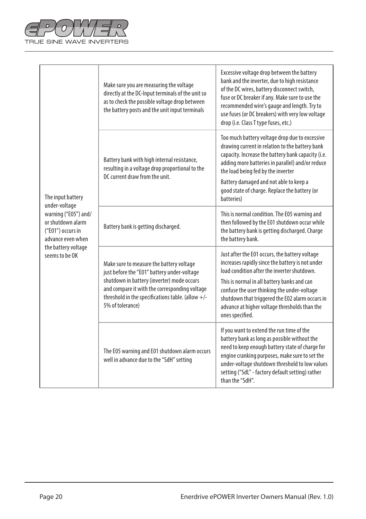

| The input battery<br>under-voltage<br>warning ("E05") and/<br>or shutdown alarm<br>("E01") occurs in<br>advance even when<br>the battery voltage<br>seems to be OK | Make sure you are measuring the voltage<br>directly at the DC-Input terminals of the unit so<br>as to check the possible voltage drop between<br>the battery posts and the unit input terminals                                                                   | Excessive voltage drop between the battery<br>bank and the inverter, due to high resistance<br>of the DC wires, battery disconnect switch,<br>fuse or DC breaker if any. Make sure to use the<br>recommended wire's gauge and length. Try to<br>use fuses (or DC breakers) with very low voltage<br>drop (i.e. Class T type fuses, etc.)                               |
|--------------------------------------------------------------------------------------------------------------------------------------------------------------------|-------------------------------------------------------------------------------------------------------------------------------------------------------------------------------------------------------------------------------------------------------------------|------------------------------------------------------------------------------------------------------------------------------------------------------------------------------------------------------------------------------------------------------------------------------------------------------------------------------------------------------------------------|
|                                                                                                                                                                    | Battery bank with high internal resistance,<br>resulting in a voltage drop proportional to the<br>DC current draw from the unit.                                                                                                                                  | Too much battery voltage drop due to excessive<br>drawing current in relation to the battery bank<br>capacity. Increase the battery bank capacity (i.e.<br>adding more batteries in parallel) and/or reduce<br>the load being fed by the inverter<br>Battery damaged and not able to keep a<br>good state of charge. Replace the battery (or<br>batteries)             |
|                                                                                                                                                                    | Battery bank is getting discharged.                                                                                                                                                                                                                               | This is normal condition. The E05 warning and<br>then followed by the E01 shutdown occur while<br>the battery bank is getting discharged. Charge<br>the battery bank.                                                                                                                                                                                                  |
|                                                                                                                                                                    | Make sure to measure the battery voltage<br>just before the "E01" battery under-voltage<br>shutdown in battery (inverter) mode occurs<br>and compare it with the corresponding voltage<br>threshold in the specifications table. (allow $+/-$<br>5% of tolerance) | Just after the E01 occurs, the battery voltage<br>increases rapidly since the battery is not under<br>load condition after the inverter shutdown.<br>This is normal in all battery banks and can<br>confuse the user thinking the under-voltage<br>shutdown that triggered the E02 alarm occurs in<br>advance at higher voltage thresholds than the<br>ones specified. |
|                                                                                                                                                                    | The E05 warning and E01 shutdown alarm occurs<br>well in advance due to the "SdH" setting                                                                                                                                                                         | If you want to extend the run time of the<br>battery bank as long as possible without the<br>need to keep enough battery state of charge for<br>engine cranking purposes, make sure to set the<br>under-voltage shutdown threshold to low values<br>setting ("SdL" - factory default setting) rather<br>than the "SdH".                                                |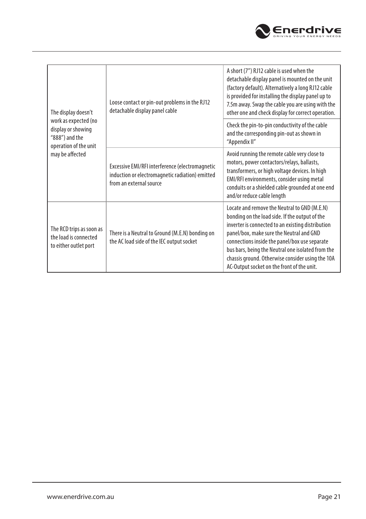

| The display doesn't<br>work as expected (no<br>display or showing<br>"888") and the<br>operation of the unit<br>may be affected | Loose contact or pin-out problems in the RJ12<br>detachable display panel cable                                               | A short (7") RJ12 cable is used when the<br>detachable display panel is mounted on the unit<br>(factory default). Alternatively a long RJ12 cable<br>is provided for installing the display panel up to<br>7.5m away. Swap the cable you are using with the<br>other one and check display for correct operation.                                                                                       |
|---------------------------------------------------------------------------------------------------------------------------------|-------------------------------------------------------------------------------------------------------------------------------|---------------------------------------------------------------------------------------------------------------------------------------------------------------------------------------------------------------------------------------------------------------------------------------------------------------------------------------------------------------------------------------------------------|
|                                                                                                                                 |                                                                                                                               | Check the pin-to-pin conductivity of the cable<br>and the corresponding pin-out as shown in<br>"Appendix II"                                                                                                                                                                                                                                                                                            |
|                                                                                                                                 | Excessive EMI/RFI interference (electromagnetic<br>induction or electromagnetic radiation) emitted<br>from an external source | Avoid running the remote cable very close to<br>motors, power contactors/relays, ballasts,<br>transformers, or high voltage devices. In high<br>EMI/RFI environments, consider using metal<br>conduits or a shielded cable grounded at one end<br>and/or reduce cable length                                                                                                                            |
| The RCD trips as soon as<br>the load is connected<br>to either outlet port                                                      | There is a Neutral to Ground (M.E.N) bonding on<br>the AC load side of the IEC output socket                                  | Locate and remove the Neutral to GND (M.E.N)<br>bonding on the load side. If the output of the<br>inverter is connected to an existing distribution<br>panel/box, make sure the Neutral and GND<br>connections inside the panel/box use separate<br>bus bars, being the Neutral one isolated from the<br>chassis ground. Otherwise consider using the 10A<br>AC-Output socket on the front of the unit. |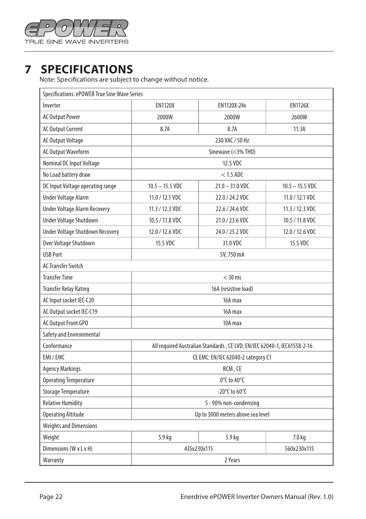

## **7 SPECIFICATIONS**

Note: Specifications are subject to change without notice.

| Specifications: ePOWER True Sine Wave Series |                                                                          |                   |                   |  |  |
|----------------------------------------------|--------------------------------------------------------------------------|-------------------|-------------------|--|--|
| Inverter                                     | <b>EN1120X</b>                                                           | EN1120X-24v       | <b>EN1126X</b>    |  |  |
| <b>AC Output Power</b>                       | 2000W                                                                    | 2000W             | 2600W             |  |  |
| <b>AC Output Current</b>                     | 8.7A                                                                     | 8.7A              | 11.3A             |  |  |
| <b>AC Output Voltage</b>                     | 230 VAC / 50 Hz                                                          |                   |                   |  |  |
| <b>AC Output Waveform</b>                    | Sinewave (<3% THD)                                                       |                   |                   |  |  |
| Nominal DC Input Voltage                     | 12.5 VDC                                                                 |                   |                   |  |  |
| No Load battery draw                         | $<$ 1.5 ADC                                                              |                   |                   |  |  |
| DC Input Voltage operating range             | $10.5 - 15.5$ VDC                                                        | $21.0 - 31.0$ VDC | $10.5 - 15.5$ VDC |  |  |
| <b>Under Voltage Alarm</b>                   | 11.0 / 12.1 VDC                                                          | 22.0 / 24.2 VDC   | 11.0 / 12.1 VDC   |  |  |
| <b>Under Voltage Alarm Recovery</b>          | 11.3 / 12.3 VDC                                                          | 22.6 / 24.6 VDC   | 11.3 / 12.3 VDC   |  |  |
| Under Voltage Shutdown                       | 10.5 / 11.8 VDC                                                          | 21.0 / 23.6 VDC   | 10.5 / 11.8 VDC   |  |  |
| Under Voltage Shutdown Recovery              | 12.0 / 12.6 VDC                                                          | 24.0 / 25.2 VDC   | 12.0 / 12.6 VDC   |  |  |
| Over Voltage Shutdown                        | 15.5 VDC                                                                 | 31.0 VDC          | 15.5 VDC          |  |  |
| <b>USB Port</b>                              | 5V, 750 mA                                                               |                   |                   |  |  |
| <b>AC Transfer Switch</b>                    |                                                                          |                   |                   |  |  |
| <b>Transfer Time</b>                         | $<$ 30 ms                                                                |                   |                   |  |  |
| <b>Transfer Relay Rating</b>                 | 16A (resistive load)                                                     |                   |                   |  |  |
| AC Input socket IEC-C20                      | 16A max                                                                  |                   |                   |  |  |
| AC Output socket IEC-C19                     | 16A max                                                                  |                   |                   |  |  |
| AC Output Front GPO                          | 10A max                                                                  |                   |                   |  |  |
| Safety and Environmental                     |                                                                          |                   |                   |  |  |
| Conformance                                  | All required Australian Standards, CE LVD: EN/IEC 62040-1, IEC61558-2-16 |                   |                   |  |  |
| EMI / EMC                                    | CE EMC: EN/IEC 62040-2 category C1                                       |                   |                   |  |  |
| <b>Agency Markings</b>                       | RCM, CE                                                                  |                   |                   |  |  |
| <b>Operating Temperature</b>                 | $0^{\circ}$ C to 40 $^{\circ}$ C                                         |                   |                   |  |  |
| <b>Storage Temperature</b>                   | -20°C to 60°C                                                            |                   |                   |  |  |
| <b>Relative Humidity</b>                     | 5 - 90% non-condensing                                                   |                   |                   |  |  |
| <b>Operating Altitude</b>                    | Up to 3000 meters above sea level                                        |                   |                   |  |  |
| <b>Weights and Dimensions</b>                |                                                                          |                   |                   |  |  |
| Weight                                       | 5.9 kg                                                                   | 5.9 kg            | 7.0 kg            |  |  |
| Dimensions (W x L x H)                       | 560x230x115<br>435x230x115                                               |                   |                   |  |  |
| Warranty                                     | 2 Years                                                                  |                   |                   |  |  |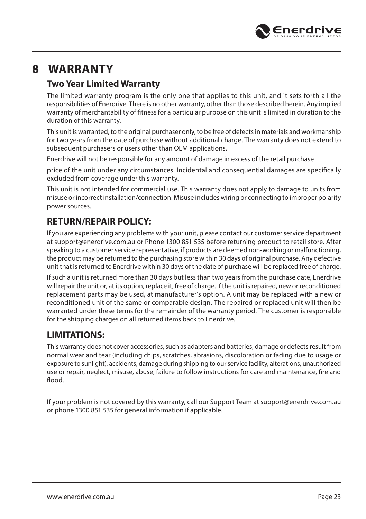

## **8 WARRANTY**

#### **Two Year Limited Warranty**

The limited warranty program is the only one that applies to this unit, and it sets forth all the responsibilities of Enerdrive. There is no other warranty, other than those described herein. Any implied warranty of merchantability of fitness for a particular purpose on this unit is limited in duration to the duration of this warranty.

This unit is warranted, to the original purchaser only, to be free of defects in materials and workmanship for two years from the date of purchase without additional charge. The warranty does not extend to subsequent purchasers or users other than OEM applications.

Enerdrive will not be responsible for any amount of damage in excess of the retail purchase

price of the unit under any circumstances. Incidental and consequential damages are specifically excluded from coverage under this warranty.

This unit is not intended for commercial use. This warranty does not apply to damage to units from misuse or incorrect installation/connection. Misuse includes wiring or connecting to improper polarity power sources.

#### **RETURN/REPAIR POLICY:**

If you are experiencing any problems with your unit, please contact our customer service department at support@enerdrive.com.au or Phone 1300 851 535 before returning product to retail store. After speaking to a customer service representative, if products are deemed non-working or malfunctioning, the product may be returned to the purchasing store within 30 days of original purchase. Any defective unit that is returned to Enerdrive within 30 days of the date of purchase will be replaced free of charge.

If such a unit is returned more than 30 days but less than two years from the purchase date, Enerdrive will repair the unit or, at its option, replace it, free of charge. If the unit is repaired, new or reconditioned replacement parts may be used, at manufacturer's option. A unit may be replaced with a new or reconditioned unit of the same or comparable design. The repaired or replaced unit will then be warranted under these terms for the remainder of the warranty period. The customer is responsible for the shipping charges on all returned items back to Enerdrive.

#### **LIMITATIONS:**

This warranty does not cover accessories, such as adapters and batteries, damage or defects result from normal wear and tear (including chips, scratches, abrasions, discoloration or fading due to usage or exposure to sunlight), accidents, damage during shipping to our service facility, alterations, unauthorized use or repair, neglect, misuse, abuse, failure to follow instructions for care and maintenance, fire and flood.

If your problem is not covered by this warranty, call our Support Team at support@enerdrive.com.au or phone 1300 851 535 for general information if applicable.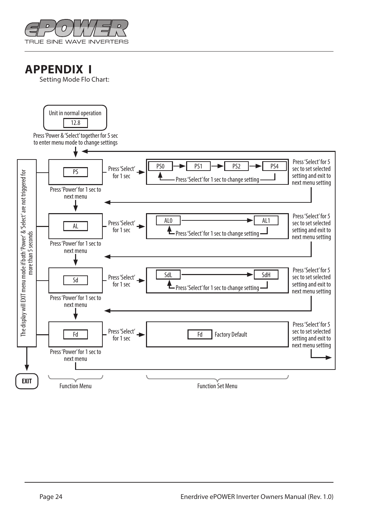

### **APPENDIX I**

Setting Mode Flo Chart:

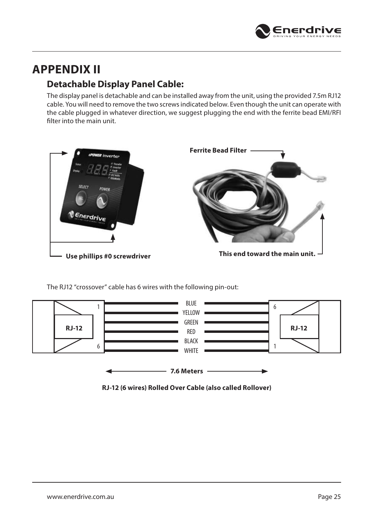

## **APPENDIX II**

#### **Detachable Display Panel Cable:**

The display panel is detachable and can be installed away from the unit, using the provided 7.5m RJ12 cable. You will need to remove the two screws indicated below. Even though the unit can operate with the cable plugged in whatever direction, we suggest plugging the end with the ferrite bead EMI/RFI filter into the main unit.



The RJ12 "crossover" cable has 6 wires with the following pin-out:



**RJ-12 (6 wires) Rolled Over Cable (also called Rollover)**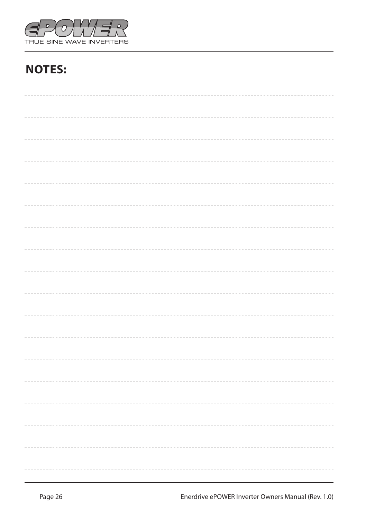

# **NOTES:**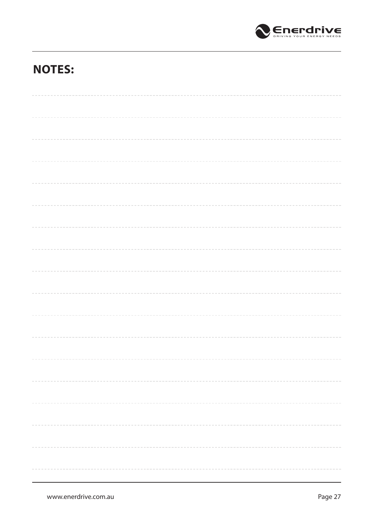

## **NOTES:**